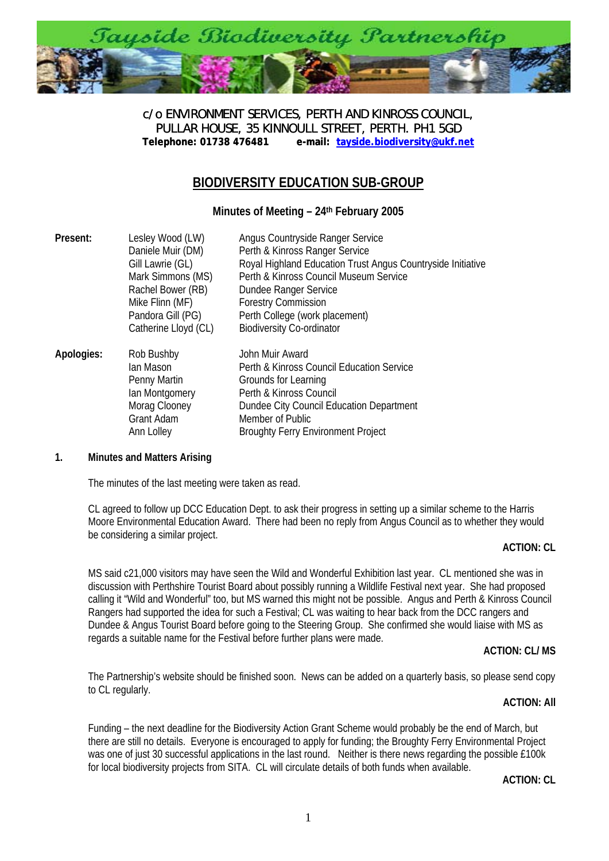

c/o ENVIRONMENT SERVICES, PERTH AND KINROSS COUNCIL, PULLAR HOUSE, 35 KINNOULL STREET, PERTH. PH1 5GD<br>Telephone: 01738 476481 e-mail: tayside.biodiversity@ukf.n **[Telephone: 01738 476481 e-mail: tayside.biodiversity@ukf.net](mailto:tayside.biodiversity@ukf.net)**

# **BIODIVERSITY EDUCATION SUB-GROUP**

**Minutes of Meeting – 24th February 2005** 

| Present:   | Lesley Wood (LW)<br>Daniele Muir (DM)<br>Gill Lawrie (GL)<br>Mark Simmons (MS)<br>Rachel Bower (RB)<br>Mike Flinn (MF)<br>Pandora Gill (PG)<br>Catherine Lloyd (CL) | Angus Countryside Ranger Service<br>Perth & Kinross Ranger Service<br>Royal Highland Education Trust Angus Countryside Initiative<br>Perth & Kinross Council Museum Service<br>Dundee Ranger Service<br><b>Forestry Commission</b><br>Perth College (work placement)<br><b>Biodiversity Co-ordinator</b> |
|------------|---------------------------------------------------------------------------------------------------------------------------------------------------------------------|----------------------------------------------------------------------------------------------------------------------------------------------------------------------------------------------------------------------------------------------------------------------------------------------------------|
| Apologies: | Rob Bushby<br>lan Mason<br>Penny Martin<br>lan Montgomery<br>Morag Clooney<br>Grant Adam<br>Ann Lolley                                                              | John Muir Award<br>Perth & Kinross Council Education Service<br>Grounds for Learning<br>Perth & Kinross Council<br>Dundee City Council Education Department<br>Member of Public<br><b>Broughty Ferry Environment Project</b>                                                                             |

#### **1. Minutes and Matters Arising**

The minutes of the last meeting were taken as read.

CL agreed to follow up DCC Education Dept. to ask their progress in setting up a similar scheme to the Harris Moore Environmental Education Award. There had been no reply from Angus Council as to whether they would be considering a similar project.

#### **ACTION: CL**

MS said c21,000 visitors may have seen the Wild and Wonderful Exhibition last year. CL mentioned she was in discussion with Perthshire Tourist Board about possibly running a Wildlife Festival next year. She had proposed calling it "Wild and Wonderful" too, but MS warned this might not be possible. Angus and Perth & Kinross Council Rangers had supported the idea for such a Festival; CL was waiting to hear back from the DCC rangers and Dundee & Angus Tourist Board before going to the Steering Group. She confirmed she would liaise with MS as regards a suitable name for the Festival before further plans were made.

#### **ACTION: CL/ MS**

The Partnership's website should be finished soon. News can be added on a quarterly basis, so please send copy to CL regularly.

#### **ACTION: All**

Funding – the next deadline for the Biodiversity Action Grant Scheme would probably be the end of March, but there are still no details. Everyone is encouraged to apply for funding; the Broughty Ferry Environmental Project was one of just 30 successful applications in the last round. Neither is there news regarding the possible £100k for local biodiversity projects from SITA. CL will circulate details of both funds when available.

**ACTION: CL**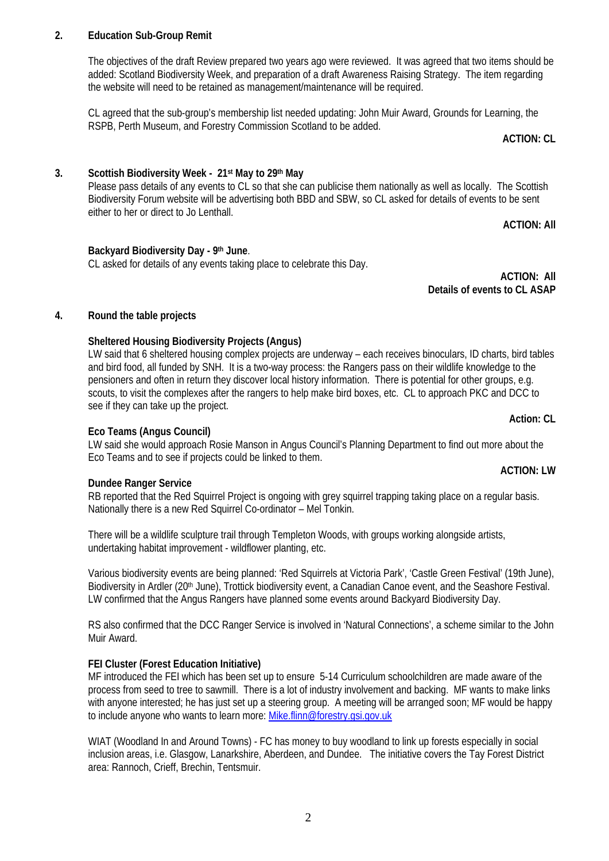## 2

## **2. Education Sub-Group Remit**

The objectives of the draft Review prepared two years ago were reviewed. It was agreed that two items should be added: Scotland Biodiversity Week, and preparation of a draft Awareness Raising Strategy. The item regarding the website will need to be retained as management/maintenance will be required.

CL agreed that the sub-group's membership list needed updating: John Muir Award, Grounds for Learning, the RSPB, Perth Museum, and Forestry Commission Scotland to be added.

**ACTION: CL** 

### **3. Scottish Biodiversity Week - 21st May to 29th May**

Please pass details of any events to CL so that she can publicise them nationally as well as locally. The Scottish Biodiversity Forum website will be advertising both BBD and SBW, so CL asked for details of events to be sent either to her or direct to Jo Lenthall.

**ACTION: All** 

#### **Backyard Biodiversity Day - 9th June**.

CL asked for details of any events taking place to celebrate this Day.

**ACTION: All Details of events to CL ASAP** 

#### **4. Round the table projects**

#### **Sheltered Housing Biodiversity Projects (Angus)**

LW said that 6 sheltered housing complex projects are underway – each receives binoculars, ID charts, bird tables and bird food, all funded by SNH. It is a two-way process: the Rangers pass on their wildlife knowledge to the pensioners and often in return they discover local history information. There is potential for other groups, e.g. scouts, to visit the complexes after the rangers to help make bird boxes, etc. CL to approach PKC and DCC to see if they can take up the project.

#### **Eco Teams (Angus Council)**

LW said she would approach Rosie Manson in Angus Council's Planning Department to find out more about the Eco Teams and to see if projects could be linked to them.

#### **Dundee Ranger Service**

RB reported that the Red Squirrel Project is ongoing with grey squirrel trapping taking place on a regular basis. Nationally there is a new Red Squirrel Co-ordinator – Mel Tonkin.

There will be a wildlife sculpture trail through Templeton Woods, with groups working alongside artists, undertaking habitat improvement - wildflower planting, etc.

Various biodiversity events are being planned: 'Red Squirrels at Victoria Park', 'Castle Green Festival' (19th June), Biodiversity in Ardler (20<sup>th</sup> June), Trottick biodiversity event, a Canadian Canoe event, and the Seashore Festival. LW confirmed that the Angus Rangers have planned some events around Backyard Biodiversity Day.

RS also confirmed that the DCC Ranger Service is involved in 'Natural Connections', a scheme similar to the John Muir Award.

#### **FEI Cluster (Forest Education Initiative)**

MF introduced the FEI which has been set up to ensure 5-14 Curriculum schoolchildren are made aware of the process from seed to tree to sawmill. There is a lot of industry involvement and backing. MF wants to make links with anyone interested; he has just set up a steering group. A meeting will be arranged soon; MF would be happy to include anyone who wants to learn more: [Mike.flinn@forestry.gsi.gov.uk](mailto:Mike.flinn@forestry.gsi.gov.uk)

WIAT (Woodland In and Around Towns) - FC has money to buy woodland to link up forests especially in social inclusion areas, i.e. Glasgow, Lanarkshire, Aberdeen, and Dundee. The initiative covers the Tay Forest District area: Rannoch, Crieff, Brechin, Tentsmuir.

### **ACTION: LW**

**Action: CL**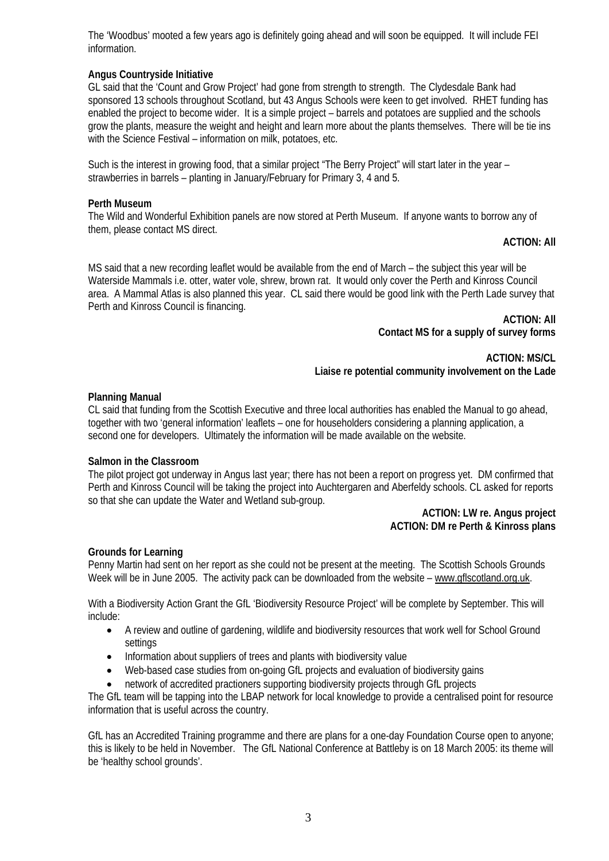The 'Woodbus' mooted a few years ago is definitely going ahead and will soon be equipped. It will include FEI information.

### **Angus Countryside Initiative**

GL said that the 'Count and Grow Project' had gone from strength to strength. The Clydesdale Bank had sponsored 13 schools throughout Scotland, but 43 Angus Schools were keen to get involved. RHET funding has enabled the project to become wider. It is a simple project – barrels and potatoes are supplied and the schools grow the plants, measure the weight and height and learn more about the plants themselves. There will be tie ins with the Science Festival – information on milk, potatoes, etc.

Such is the interest in growing food, that a similar project "The Berry Project" will start later in the year – strawberries in barrels – planting in January/February for Primary 3, 4 and 5.

#### **Perth Museum**

The Wild and Wonderful Exhibition panels are now stored at Perth Museum. If anyone wants to borrow any of them, please contact MS direct.

#### **ACTION: All**

MS said that a new recording leaflet would be available from the end of March – the subject this year will be Waterside Mammals i.e. otter, water vole, shrew, brown rat. It would only cover the Perth and Kinross Council area. A Mammal Atlas is also planned this year. CL said there would be good link with the Perth Lade survey that Perth and Kinross Council is financing.

> **ACTION: All Contact MS for a supply of survey forms**

**ACTION: MS/CL Liaise re potential community involvement on the Lade**

#### **Planning Manual**

CL said that funding from the Scottish Executive and three local authorities has enabled the Manual to go ahead, together with two 'general information' leaflets – one for householders considering a planning application, a second one for developers. Ultimately the information will be made available on the website.

#### **Salmon in the Classroom**

The pilot project got underway in Angus last year; there has not been a report on progress yet. DM confirmed that Perth and Kinross Council will be taking the project into Auchtergaren and Aberfeldy schools. CL asked for reports so that she can update the Water and Wetland sub-group.

#### **ACTION: LW re. Angus project ACTION: DM re Perth & Kinross plans**

#### **Grounds for Learning**

Penny Martin had sent on her report as she could not be present at the meeting. The Scottish Schools Grounds Week will be in June 2005. The activity pack can be downloaded from the website – [www.gflscotland.org.uk.](http://www.gflscotland.org.uk/)

With a Biodiversity Action Grant the GfL 'Biodiversity Resource Project' will be complete by September. This will include:

- A review and outline of gardening, wildlife and biodiversity resources that work well for School Ground settings
- Information about suppliers of trees and plants with biodiversity value
- Web-based case studies from on-going GfL projects and evaluation of biodiversity gains
- network of accredited practioners supporting biodiversity projects through GfL projects

The GfL team will be tapping into the LBAP network for local knowledge to provide a centralised point for resource information that is useful across the country.

GfL has an Accredited Training programme and there are plans for a one-day Foundation Course open to anyone; this is likely to be held in November. The GfL National Conference at Battleby is on 18 March 2005: its theme will be 'healthy school grounds'.